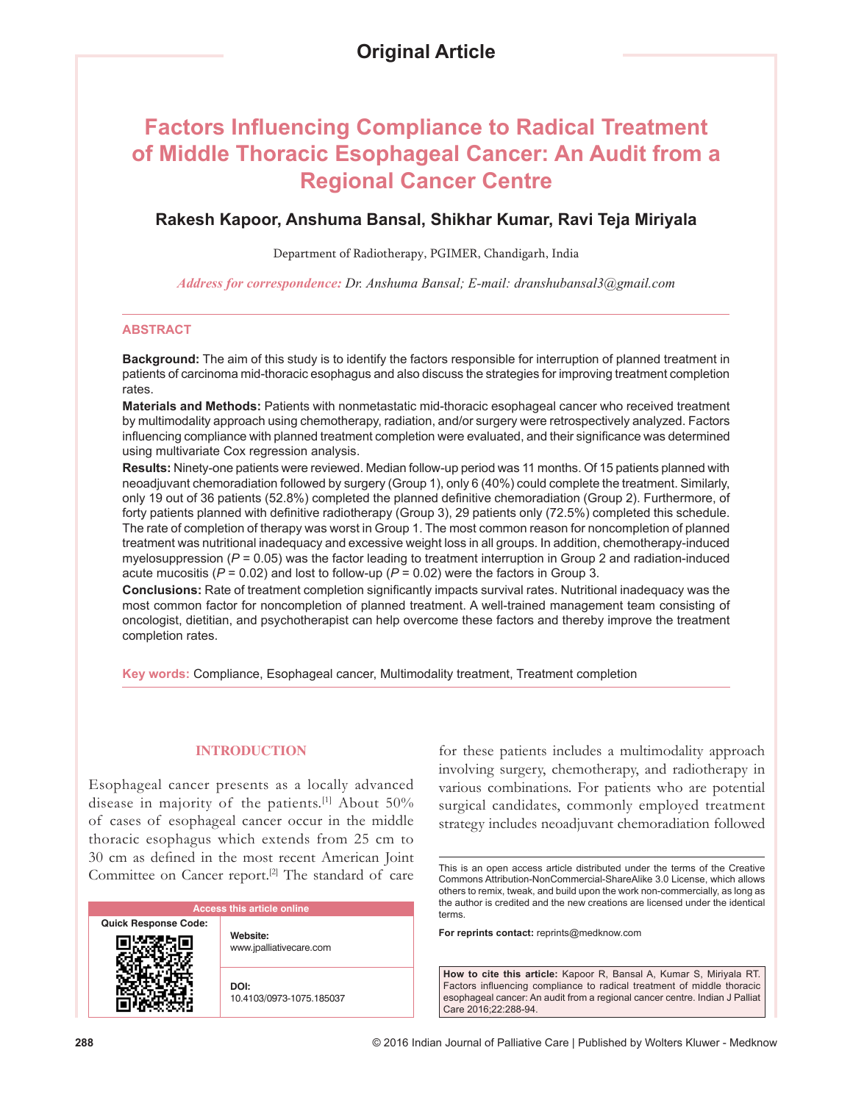# **Factors Influencing Compliance to Radical Treatment of Middle Thoracic Esophageal Cancer: An Audit from a Regional Cancer Centre**

# **Rakesh Kapoor, Anshuma Bansal, Shikhar Kumar, Ravi Teja Miriyala**

Department of Radiotherapy, PGIMER, Chandigarh, India

*Address for correspondence: Dr. Anshuma Bansal; E‑mail: dranshubansal3@gmail.com*

#### **ABSTRACT**

**Background:** The aim of this study is to identify the factors responsible for interruption of planned treatment in patients of carcinoma mid-thoracic esophagus and also discuss the strategies for improving treatment completion rates.

**Materials and Methods:** Patients with nonmetastatic mid-thoracic esophageal cancer who received treatment by multimodality approach using chemotherapy, radiation, and/or surgery were retrospectively analyzed. Factors influencing compliance with planned treatment completion were evaluated, and their significance was determined using multivariate Cox regression analysis.

**Results:** Ninety-one patients were reviewed. Median follow-up period was 11 months. Of 15 patients planned with neoadjuvant chemoradiation followed by surgery (Group 1), only 6 (40%) could complete the treatment. Similarly, only 19 out of 36 patients (52.8%) completed the planned definitive chemoradiation (Group 2). Furthermore, of forty patients planned with definitive radiotherapy (Group 3), 29 patients only (72.5%) completed this schedule. The rate of completion of therapy was worst in Group 1. The most common reason for noncompletion of planned treatment was nutritional inadequacy and excessive weight loss in all groups. In addition, chemotherapy-induced myelosuppression (*P* = 0.05) was the factor leading to treatment interruption in Group 2 and radiation-induced acute mucositis (*P* = 0.02) and lost to follow-up (*P* = 0.02) were the factors in Group 3.

**Conclusions:** Rate of treatment completion significantly impacts survival rates. Nutritional inadequacy was the most common factor for noncompletion of planned treatment. A well-trained management team consisting of oncologist, dietitian, and psychotherapist can help overcome these factors and thereby improve the treatment completion rates.

**Key words:** Compliance, Esophageal cancer, Multimodality treatment, Treatment completion

## **INTRODUCTION**

Esophageal cancer presents as a locally advanced disease in majority of the patients.<sup>[1]</sup> About 50% of cases of esophageal cancer occur in the middle thoracic esophagus which extends from 25 cm to 30 cm as defined in the most recent American Joint Committee on Cancer report.<sup>[2]</sup> The standard of care

| <b>Access this article online</b> |                                     |  |
|-----------------------------------|-------------------------------------|--|
| <b>Quick Response Code:</b>       | Website:<br>www.jpalliativecare.com |  |
|                                   | DOI:<br>10.4103/0973-1075.185037    |  |

for these patients includes a multimodality approach involving surgery, chemotherapy, and radiotherapy in various combinations. For patients who are potential surgical candidates, commonly employed treatment strategy includes neoadjuvant chemoradiation followed

This is an open access article distributed under the terms of the Creative Commons Attribution-NonCommercial-ShareAlike 3.0 License, which allows others to remix, tweak, and build upon the work non-commercially, as long as the author is credited and the new creations are licensed under the identical terms.

**For reprints contact:** reprints@medknow.com

**How to cite this article:** Kapoor R, Bansal A, Kumar S, Miriyala RT. Factors influencing compliance to radical treatment of middle thoracic esophageal cancer: An audit from a regional cancer centre. Indian J Palliat Care 2016;22:288-94.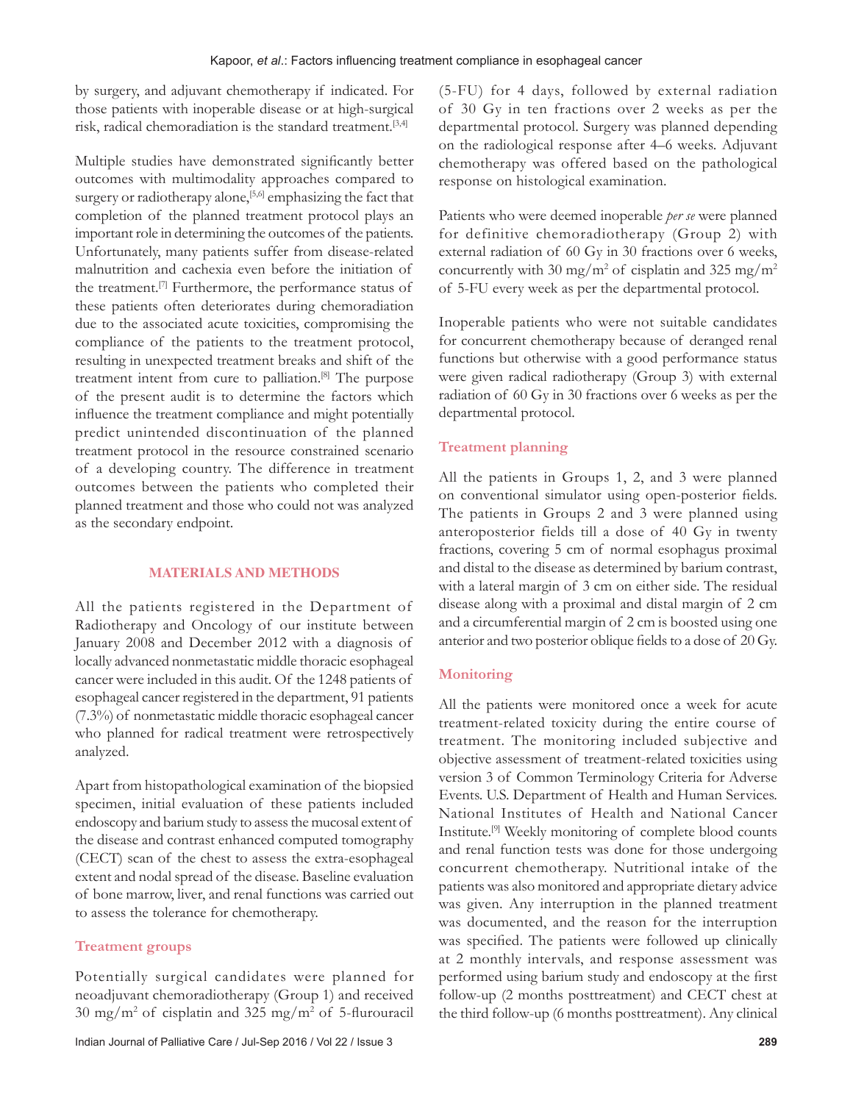by surgery, and adjuvant chemotherapy if indicated. For those patients with inoperable disease or at high-surgical risk, radical chemoradiation is the standard treatment.[3,4]

Multiple studies have demonstrated significantly better outcomes with multimodality approaches compared to surgery or radiotherapy alone,<sup>[5,6]</sup> emphasizing the fact that completion of the planned treatment protocol plays an important role in determining the outcomes of the patients. Unfortunately, many patients suffer from disease‑related malnutrition and cachexia even before the initiation of the treatment.[7] Furthermore, the performance status of these patients often deteriorates during chemoradiation due to the associated acute toxicities, compromising the compliance of the patients to the treatment protocol, resulting in unexpected treatment breaks and shift of the treatment intent from cure to palliation.[8] The purpose of the present audit is to determine the factors which influence the treatment compliance and might potentially predict unintended discontinuation of the planned treatment protocol in the resource constrained scenario of a developing country. The difference in treatment outcomes between the patients who completed their planned treatment and those who could not was analyzed as the secondary endpoint.

#### **MATERIALS AND METHODS**

All the patients registered in the Department of Radiotherapy and Oncology of our institute between January 2008 and December 2012 with a diagnosis of locally advanced nonmetastatic middle thoracic esophageal cancer were included in this audit. Of the 1248 patients of esophageal cancer registered in the department, 91 patients (7.3%) of nonmetastatic middle thoracic esophageal cancer who planned for radical treatment were retrospectively analyzed.

Apart from histopathological examination of the biopsied specimen, initial evaluation of these patients included endoscopy and barium study to assess the mucosal extent of the disease and contrast enhanced computed tomography (CECT) scan of the chest to assess the extra-esophageal extent and nodal spread of the disease. Baseline evaluation of bone marrow, liver, and renal functions was carried out to assess the tolerance for chemotherapy.

# **Treatment groups**

Potentially surgical candidates were planned for neoadjuvant chemoradiotherapy (Group 1) and received 30 mg/m<sup>2</sup> of cisplatin and 325 mg/m<sup>2</sup> of 5‑flurouracil (5‑FU) for 4 days, followed by external radiation of 30 Gy in ten fractions over 2 weeks as per the departmental protocol. Surgery was planned depending on the radiological response after 4–6 weeks. Adjuvant chemotherapy was offered based on the pathological response on histological examination.

Patients who were deemed inoperable *per se* were planned for definitive chemoradiotherapy (Group 2) with external radiation of 60 Gy in 30 fractions over 6 weeks, concurrently with 30 mg/m<sup>2</sup> of cisplatin and 325 mg/m<sup>2</sup> of 5‑FU every week as per the departmental protocol.

Inoperable patients who were not suitable candidates for concurrent chemotherapy because of deranged renal functions but otherwise with a good performance status were given radical radiotherapy (Group 3) with external radiation of 60 Gy in 30 fractions over 6 weeks as per the departmental protocol.

# **Treatment planning**

All the patients in Groups 1, 2, and 3 were planned on conventional simulator using open‑posterior fields. The patients in Groups 2 and 3 were planned using anteroposterior fields till a dose of 40 Gy in twenty fractions, covering 5 cm of normal esophagus proximal and distal to the disease as determined by barium contrast, with a lateral margin of 3 cm on either side. The residual disease along with a proximal and distal margin of 2 cm and a circumferential margin of 2 cm is boosted using one anterior and two posterior oblique fields to a dose of 20 Gy.

## **Monitoring**

All the patients were monitored once a week for acute treatment‑related toxicity during the entire course of treatment. The monitoring included subjective and objective assessment of treatment‑related toxicities using version 3 of Common Terminology Criteria for Adverse Events. U.S. Department of Health and Human Services. National Institutes of Health and National Cancer Institute.[9] Weekly monitoring of complete blood counts and renal function tests was done for those undergoing concurrent chemotherapy. Nutritional intake of the patients was also monitored and appropriate dietary advice was given. Any interruption in the planned treatment was documented, and the reason for the interruption was specified. The patients were followed up clinically at 2 monthly intervals, and response assessment was performed using barium study and endoscopy at the first follow‑up (2 months posttreatment) and CECT chest at the third follow‑up (6 months posttreatment). Any clinical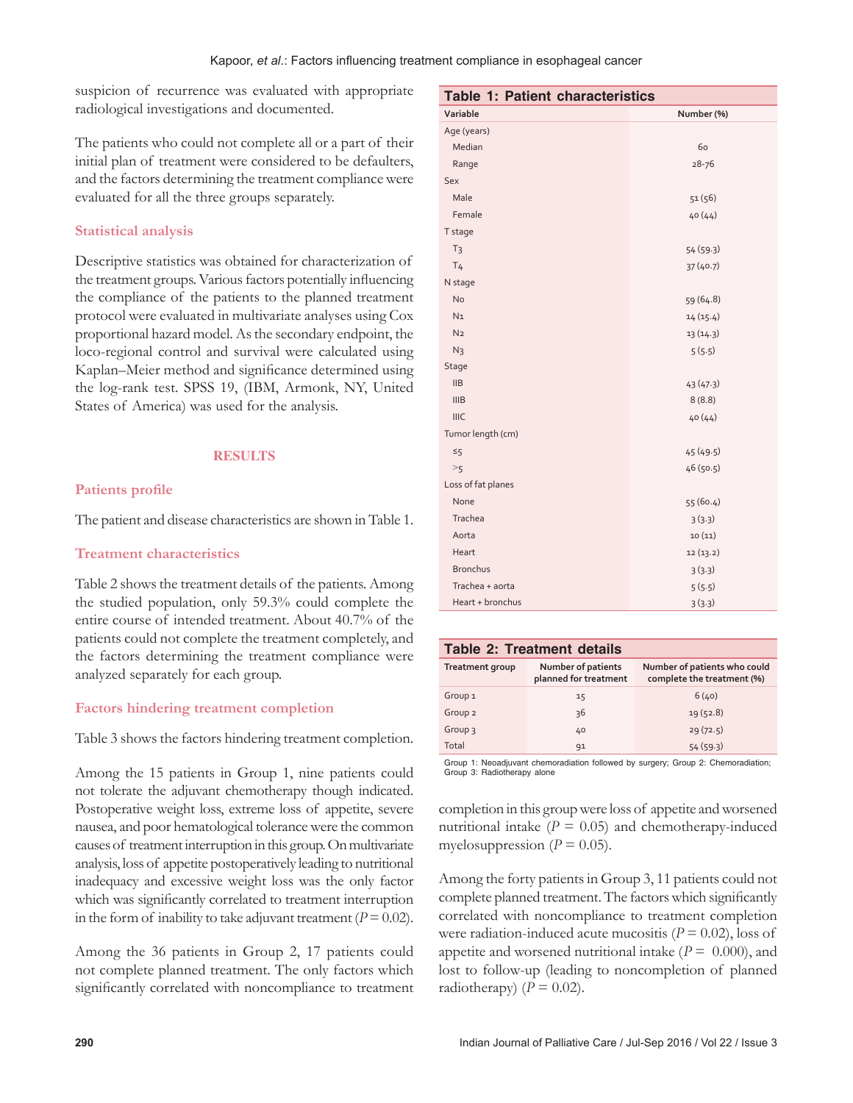suspicion of recurrence was evaluated with appropriate radiological investigations and documented.

The patients who could not complete all or a part of their initial plan of treatment were considered to be defaulters, and the factors determining the treatment compliance were evaluated for all the three groups separately.

# **Statistical analysis**

Descriptive statistics was obtained for characterization of the treatment groups. Various factors potentially influencing the compliance of the patients to the planned treatment protocol were evaluated in multivariate analyses using Cox proportional hazard model. As the secondary endpoint, the loco‑regional control and survival were calculated using Kaplan–Meier method and significance determined using the log‑rank test. SPSS 19, (IBM, Armonk, NY, United States of America) was used for the analysis.

## **RESULTS**

# **Patients profile**

The patient and disease characteristics are shown in Table 1.

## **Treatment characteristics**

Table 2 shows the treatment details of the patients. Among the studied population, only 59.3% could complete the entire course of intended treatment. About 40.7% of the patients could not complete the treatment completely, and the factors determining the treatment compliance were analyzed separately for each group.

## **Factors hindering treatment completion**

Table 3 shows the factors hindering treatment completion.

Among the 15 patients in Group 1, nine patients could not tolerate the adjuvant chemotherapy though indicated. Postoperative weight loss, extreme loss of appetite, severe nausea, and poor hematological tolerance were the common causes of treatment interruption in this group. On multivariate analysis, loss of appetite postoperatively leading to nutritional inadequacy and excessive weight loss was the only factor which was significantly correlated to treatment interruption in the form of inability to take adjuvant treatment ( $P = 0.02$ ).

Among the 36 patients in Group 2, 17 patients could not complete planned treatment. The only factors which significantly correlated with noncompliance to treatment

| Table 1: Patient characteristics |            |  |
|----------------------------------|------------|--|
| Variable                         | Number (%) |  |
| Age (years)                      |            |  |
| Median                           | 60         |  |
| Range                            | $28 - 76$  |  |
| Sex                              |            |  |
| Male                             | 51(56)     |  |
| Female                           | 40(44)     |  |
| T stage                          |            |  |
| T <sub>3</sub>                   | 54 (59.3)  |  |
| T <sub>4</sub>                   | 37(40.7)   |  |
| N stage                          |            |  |
| <b>No</b>                        | 59 (64.8)  |  |
| N <sub>1</sub>                   | 14(15.4)   |  |
| N <sub>2</sub>                   | 13(14.3)   |  |
| N <sub>3</sub>                   | 5(5.5)     |  |
| Stage                            |            |  |
| <b>IIB</b>                       | 43(47.3)   |  |
| <b>IIIB</b>                      | 8(8.8)     |  |
| <b>IIIC</b>                      | 40(44)     |  |
| Tumor length (cm)                |            |  |
| $\leq$ 5                         | 45(49.5)   |  |
| >5                               | 46 (50.5)  |  |
| Loss of fat planes               |            |  |
| None                             | 55 (60.4)  |  |
| Trachea                          | 3(3.3)     |  |
| Aorta                            | 10(11)     |  |
| Heart                            | 12(13.2)   |  |
| <b>Bronchus</b>                  | 3(3.3)     |  |
| Trachea + aorta                  | 5(5.5)     |  |
| Heart + bronchus                 | 3(3.3)     |  |

#### **Table 2: Treatment details**

| Treatment group    | Number of patients<br>planned for treatment | Number of patients who could<br>complete the treatment (%) |
|--------------------|---------------------------------------------|------------------------------------------------------------|
| Group <sub>1</sub> | 15                                          | 6(40)                                                      |
| Group <sub>2</sub> | 36                                          | 19(52.8)                                                   |
| Group 3            | 40                                          | 29(72.5)                                                   |
| Total              | 91                                          | 54(59.3)                                                   |
|                    |                                             |                                                            |

Group 1: Neoadjuvant chemoradiation followed by surgery; Group 2: Chemoradiation; Group 3: Radiotherapy alone

completion in this group were loss of appetite and worsened nutritional intake  $(P = 0.05)$  and chemotherapy-induced myelosuppression ( $P = 0.05$ ).

Among the forty patients in Group 3, 11 patients could not complete planned treatment. The factors which significantly correlated with noncompliance to treatment completion were radiation-induced acute mucositis  $(P = 0.02)$ , loss of appetite and worsened nutritional intake  $(P = 0.000)$ , and lost to follow‑up (leading to noncompletion of planned radiotherapy)  $(P = 0.02)$ .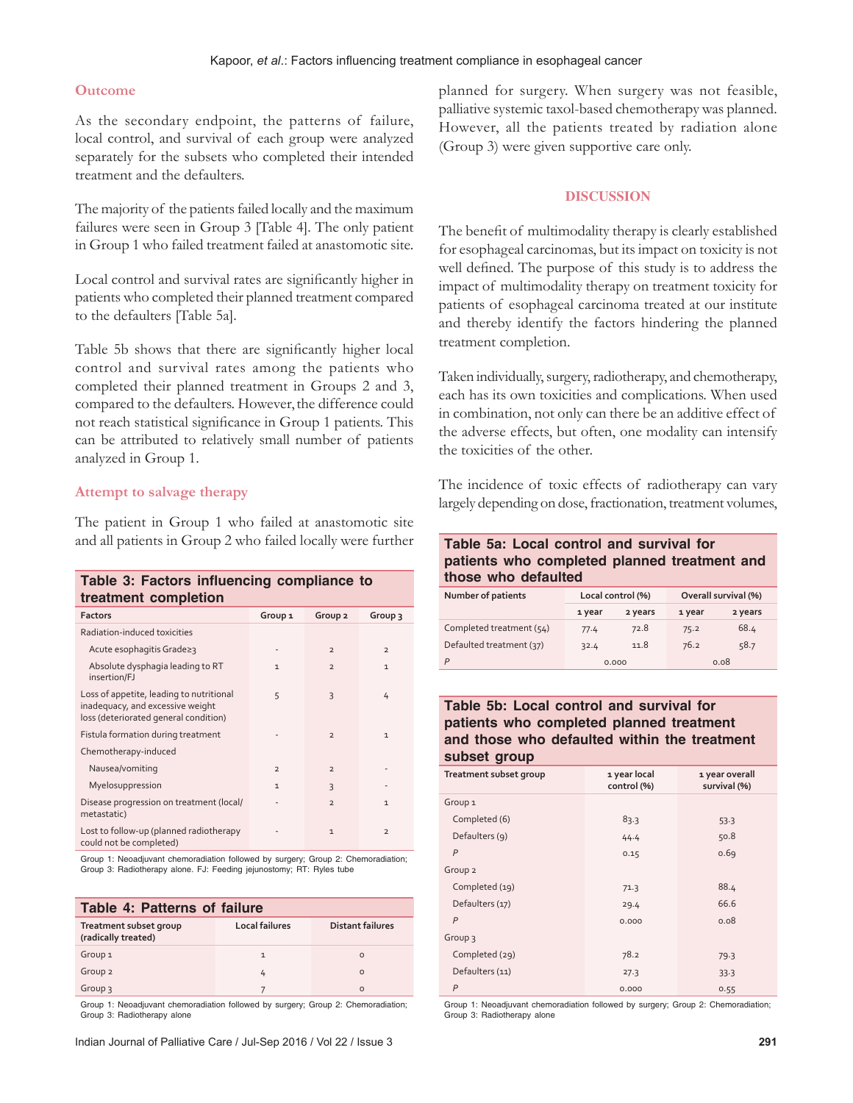#### **Outcome**

As the secondary endpoint, the patterns of failure, local control, and survival of each group were analyzed separately for the subsets who completed their intended treatment and the defaulters.

The majority of the patients failed locally and the maximum failures were seen in Group 3 [Table 4]. The only patient in Group 1 who failed treatment failed at anastomotic site.

Local control and survival rates are significantly higher in patients who completed their planned treatment compared to the defaulters [Table 5a].

Table 5b shows that there are significantly higher local control and survival rates among the patients who completed their planned treatment in Groups 2 and 3, compared to the defaulters. However, the difference could not reach statistical significance in Group 1 patients. This can be attributed to relatively small number of patients analyzed in Group 1.

## **Attempt to salvage therapy**

The patient in Group 1 who failed at anastomotic site and all patients in Group 2 who failed locally were further

| Table 3: Factors influencing compliance to<br>treatment completion                                                    |                    |                          |                |
|-----------------------------------------------------------------------------------------------------------------------|--------------------|--------------------------|----------------|
| <b>Factors</b>                                                                                                        | Group <sub>1</sub> | Group <sub>2</sub>       | Group 3        |
| Radiation-induced toxicities                                                                                          |                    |                          |                |
| Acute esophagitis Grade≥3                                                                                             |                    | $\overline{2}$           | $\overline{2}$ |
| Absolute dysphagia leading to RT<br>insertion/FJ                                                                      | $\mathbf{1}$       | $\overline{2}$           | $\mathbf{1}$   |
| Loss of appetite, leading to nutritional<br>inadequacy, and excessive weight<br>loss (deteriorated general condition) | 5                  | $\overline{\mathcal{E}}$ | 4              |
| Fistula formation during treatment                                                                                    |                    | $\overline{2}$           | $\mathbf{1}$   |
| Chemotherapy-induced                                                                                                  |                    |                          |                |
| Nausea/vomiting                                                                                                       | $\overline{2}$     | $\overline{2}$           |                |
| Myelosuppression                                                                                                      | 1                  | $\overline{\mathcal{E}}$ |                |
| Disease progression on treatment (local/<br>metastatic)                                                               |                    | $\overline{2}$           | $\mathbf{1}$   |
| Lost to follow-up (planned radiotherapy<br>could not be completed)                                                    |                    | $\mathbf{1}$             | $\overline{2}$ |

Group 1: Neoadjuvant chemoradiation followed by surgery; Group 2: Chemoradiation; Group 3: Radiotherapy alone. FJ: Feeding jejunostomy; RT: Ryles tube

| Table 4: Patterns of failure                  |                       |                  |  |
|-----------------------------------------------|-----------------------|------------------|--|
| Treatment subset group<br>(radically treated) | <b>Local failures</b> | Distant failures |  |
| Group <sub>1</sub>                            | $\mathbf{1}$          | $\Omega$         |  |
| Group <sub>2</sub>                            | 4                     | $\Omega$         |  |
| Group 3                                       |                       | $\Omega$         |  |

Group 1: Neoadjuvant chemoradiation followed by surgery; Group 2: Chemoradiation; Group 3: Radiotherapy alone

planned for surgery. When surgery was not feasible, palliative systemic taxol‑based chemotherapy was planned. However, all the patients treated by radiation alone (Group 3) were given supportive care only.

## **DISCUSSION**

The benefit of multimodality therapy is clearly established for esophageal carcinomas, but its impact on toxicity is not well defined. The purpose of this study is to address the impact of multimodality therapy on treatment toxicity for patients of esophageal carcinoma treated at our institute and thereby identify the factors hindering the planned treatment completion.

Taken individually, surgery, radiotherapy, and chemotherapy, each has its own toxicities and complications. When used in combination, not only can there be an additive effect of the adverse effects, but often, one modality can intensify the toxicities of the other.

The incidence of toxic effects of radiotherapy can vary largely depending on dose, fractionation, treatment volumes,

# **Table 5a: Local control and survival for patients who completed planned treatment and those who defaulted**

| Number of patients       | Local control (%) |         | Overall survival (%) |         |
|--------------------------|-------------------|---------|----------------------|---------|
|                          | 1 year            | 2 years | 1 year               | 2 years |
| Completed treatment (54) | 77.4              | 72.8    | 75.2                 | 68.4    |
| Defaulted treatment (37) | 32.4              | 11.8    | 76.2                 | 58.7    |
| P                        |                   | 0.000   |                      | 0.08    |

## **Table 5b: Local control and survival for patients who completed planned treatment and those who defaulted within the treatment subset group**

| Treatment subset group | 1 year local<br>control (%) | 1 year overall<br>survival (%) |
|------------------------|-----------------------------|--------------------------------|
| Group <sub>1</sub>     |                             |                                |
| Completed (6)          | 83.3                        | 53.3                           |
| Defaulters (9)         | 44.4                        | 50.8                           |
| $\overline{P}$         | 0.15                        | 0.69                           |
| Group <sub>2</sub>     |                             |                                |
| Completed (19)         | 71.3                        | 88.4                           |
| Defaulters (17)        | 29.4                        | 66.6                           |
| $\overline{P}$         | 0.000                       | 0.08                           |
| Group 3                |                             |                                |
| Completed (29)         | 78.2                        | 79.3                           |
| Defaulters (11)        | 27.3                        | 33.3                           |
| $\overline{P}$         | 0.000                       | 0.55                           |

Group 1: Neoadjuvant chemoradiation followed by surgery; Group 2: Chemoradiation; Group 3: Radiotherapy alone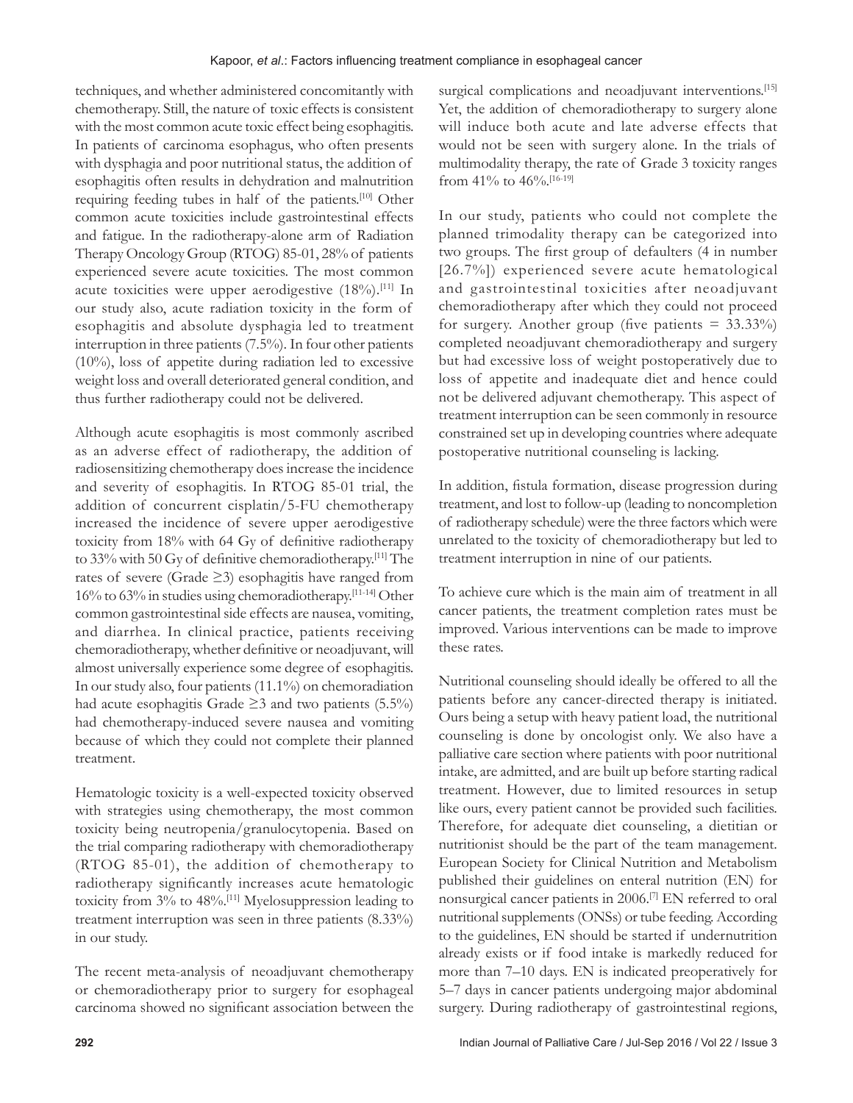techniques, and whether administered concomitantly with chemotherapy. Still, the nature of toxic effects is consistent with the most common acute toxic effect being esophagitis. In patients of carcinoma esophagus, who often presents with dysphagia and poor nutritional status, the addition of esophagitis often results in dehydration and malnutrition requiring feeding tubes in half of the patients.[10] Other common acute toxicities include gastrointestinal effects and fatigue. In the radiotherapy‑alone arm of Radiation Therapy Oncology Group (RTOG) 85‑01, 28% of patients experienced severe acute toxicities. The most common acute toxicities were upper aerodigestive  $(18\%)$ .<sup>[11]</sup> In our study also, acute radiation toxicity in the form of esophagitis and absolute dysphagia led to treatment interruption in three patients (7.5%). In four other patients (10%), loss of appetite during radiation led to excessive weight loss and overall deteriorated general condition, and thus further radiotherapy could not be delivered.

Although acute esophagitis is most commonly ascribed as an adverse effect of radiotherapy, the addition of radiosensitizing chemotherapy does increase the incidence and severity of esophagitis. In RTOG 85‑01 trial, the addition of concurrent cisplatin/5‑FU chemotherapy increased the incidence of severe upper aerodigestive toxicity from 18% with 64 Gy of definitive radiotherapy to 33% with 50 Gy of definitive chemoradiotherapy.[11] The rates of severe (Grade ≥3) esophagitis have ranged from 16% to 63% in studies using chemoradiotherapy.[11‑14] Other common gastrointestinal side effects are nausea, vomiting, and diarrhea. In clinical practice, patients receiving chemoradiotherapy, whether definitive or neoadjuvant, will almost universally experience some degree of esophagitis. In our study also, four patients (11.1%) on chemoradiation had acute esophagitis Grade  $\geq$ 3 and two patients (5.5%) had chemotherapy‑induced severe nausea and vomiting because of which they could not complete their planned treatment.

Hematologic toxicity is a well-expected toxicity observed with strategies using chemotherapy, the most common toxicity being neutropenia/granulocytopenia. Based on the trial comparing radiotherapy with chemoradiotherapy (RTOG 85‑01), the addition of chemotherapy to radiotherapy significantly increases acute hematologic toxicity from 3% to 48%.[11] Myelosuppression leading to treatment interruption was seen in three patients (8.33%) in our study.

The recent meta-analysis of neoadjuvant chemotherapy or chemoradiotherapy prior to surgery for esophageal carcinoma showed no significant association between the surgical complications and neoadjuvant interventions.<sup>[15]</sup> Yet, the addition of chemoradiotherapy to surgery alone will induce both acute and late adverse effects that would not be seen with surgery alone. In the trials of multimodality therapy, the rate of Grade 3 toxicity ranges from 41% to  $46\%$ . [16-19]

In our study, patients who could not complete the planned trimodality therapy can be categorized into two groups. The first group of defaulters (4 in number [26.7%]) experienced severe acute hematological and gastrointestinal toxicities after neoadjuvant chemoradiotherapy after which they could not proceed for surgery. Another group (five patients  $= 33.33\%$ ) completed neoadjuvant chemoradiotherapy and surgery but had excessive loss of weight postoperatively due to loss of appetite and inadequate diet and hence could not be delivered adjuvant chemotherapy. This aspect of treatment interruption can be seen commonly in resource constrained set up in developing countries where adequate postoperative nutritional counseling is lacking.

In addition, fistula formation, disease progression during treatment, and lost to follow‑up (leading to noncompletion of radiotherapy schedule) were the three factors which were unrelated to the toxicity of chemoradiotherapy but led to treatment interruption in nine of our patients.

To achieve cure which is the main aim of treatment in all cancer patients, the treatment completion rates must be improved. Various interventions can be made to improve these rates.

Nutritional counseling should ideally be offered to all the patients before any cancer-directed therapy is initiated. Ours being a setup with heavy patient load, the nutritional counseling is done by oncologist only. We also have a palliative care section where patients with poor nutritional intake, are admitted, and are built up before starting radical treatment. However, due to limited resources in setup like ours, every patient cannot be provided such facilities. Therefore, for adequate diet counseling, a dietitian or nutritionist should be the part of the team management. European Society for Clinical Nutrition and Metabolism published their guidelines on enteral nutrition (EN) for nonsurgical cancer patients in 2006.[7] EN referred to oral nutritional supplements (ONSs) or tube feeding. According to the guidelines, EN should be started if undernutrition already exists or if food intake is markedly reduced for more than 7–10 days. EN is indicated preoperatively for 5–7 days in cancer patients undergoing major abdominal surgery. During radiotherapy of gastrointestinal regions,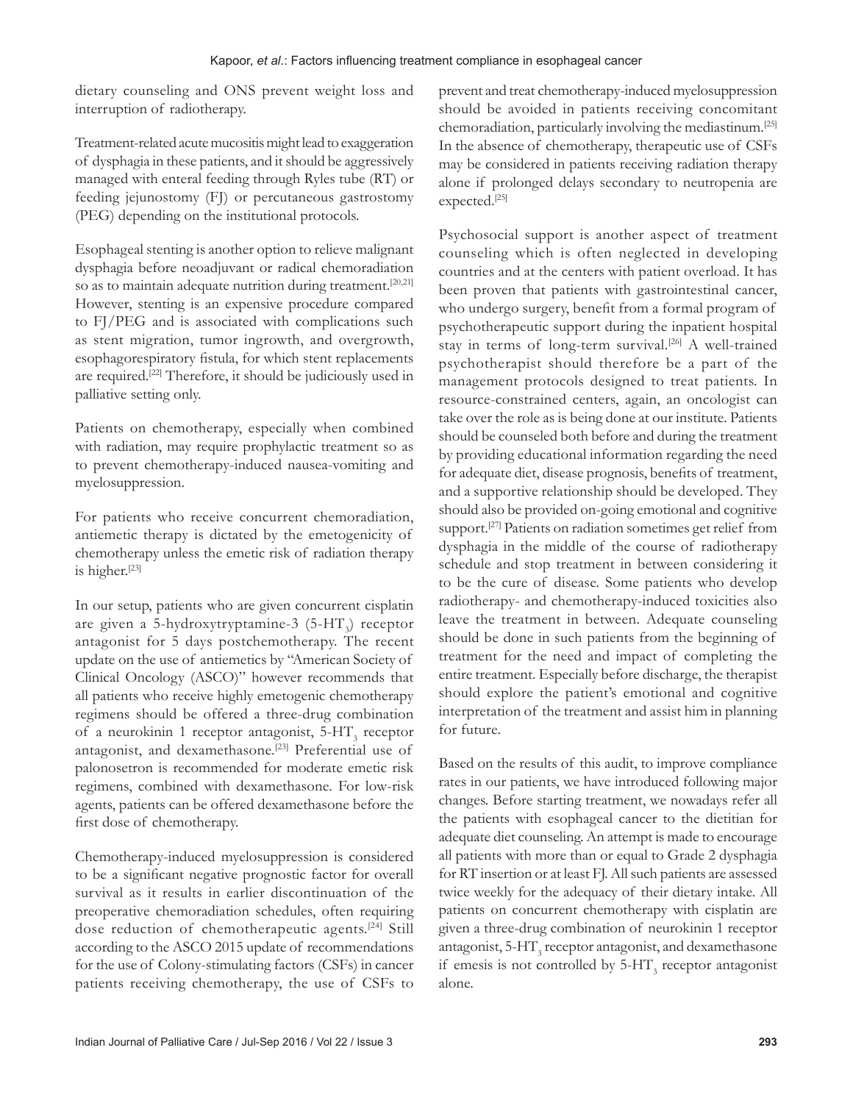dietary counseling and ONS prevent weight loss and interruption of radiotherapy.

Treatment‑related acute mucositis might lead to exaggeration of dysphagia in these patients, and it should be aggressively managed with enteral feeding through Ryles tube (RT) or feeding jejunostomy (FJ) or percutaneous gastrostomy (PEG) depending on the institutional protocols.

Esophageal stenting is another option to relieve malignant dysphagia before neoadjuvant or radical chemoradiation so as to maintain adequate nutrition during treatment.<sup>[20,21]</sup> However, stenting is an expensive procedure compared to FJ/PEG and is associated with complications such as stent migration, tumor ingrowth, and overgrowth, esophagorespiratory fistula, for which stent replacements are required.[22] Therefore, it should be judiciously used in palliative setting only.

Patients on chemotherapy, especially when combined with radiation, may require prophylactic treatment so as to prevent chemotherapy‑induced nausea‑vomiting and myelosuppression.

For patients who receive concurrent chemoradiation, antiemetic therapy is dictated by the emetogenicity of chemotherapy unless the emetic risk of radiation therapy is higher.[23]

In our setup, patients who are given concurrent cisplatin are given a 5-hydroxytryptamine-3 (5-HT<sub>3</sub>) receptor antagonist for 5 days postchemotherapy. The recent update on the use of antiemetics by "American Society of Clinical Oncology (ASCO)" however recommends that all patients who receive highly emetogenic chemotherapy regimens should be offered a three‑drug combination of a neurokinin 1 receptor antagonist,  $5-HT_3$  receptor antagonist, and dexamethasone.<sup>[23]</sup> Preferential use of palonosetron is recommended for moderate emetic risk regimens, combined with dexamethasone. For low-risk agents, patients can be offered dexamethasone before the first dose of chemotherapy.

Chemotherapy‑induced myelosuppression is considered to be a significant negative prognostic factor for overall survival as it results in earlier discontinuation of the preoperative chemoradiation schedules, often requiring dose reduction of chemotherapeutic agents.[24] Still according to the ASCO 2015 update of recommendations for the use of Colony‑stimulating factors (CSFs) in cancer patients receiving chemotherapy, the use of CSFs to

prevent and treat chemotherapy‑induced myelosuppression should be avoided in patients receiving concomitant chemoradiation, particularly involving the mediastinum.[25] In the absence of chemotherapy, therapeutic use of CSFs may be considered in patients receiving radiation therapy alone if prolonged delays secondary to neutropenia are expected.[25]

Psychosocial support is another aspect of treatment counseling which is often neglected in developing countries and at the centers with patient overload. It has been proven that patients with gastrointestinal cancer, who undergo surgery, benefit from a formal program of psychotherapeutic support during the inpatient hospital stay in terms of long-term survival.<sup>[26]</sup> A well-trained psychotherapist should therefore be a part of the management protocols designed to treat patients. In resource‑constrained centers, again, an oncologist can take over the role as is being done at our institute. Patients should be counseled both before and during the treatment by providing educational information regarding the need for adequate diet, disease prognosis, benefits of treatment, and a supportive relationship should be developed. They should also be provided on‑going emotional and cognitive support.<sup>[27]</sup> Patients on radiation sometimes get relief from dysphagia in the middle of the course of radiotherapy schedule and stop treatment in between considering it to be the cure of disease. Some patients who develop radiotherapy- and chemotherapy-induced toxicities also leave the treatment in between. Adequate counseling should be done in such patients from the beginning of treatment for the need and impact of completing the entire treatment. Especially before discharge, the therapist should explore the patient's emotional and cognitive interpretation of the treatment and assist him in planning for future.

Based on the results of this audit, to improve compliance rates in our patients, we have introduced following major changes. Before starting treatment, we nowadays refer all the patients with esophageal cancer to the dietitian for adequate diet counseling. An attempt is made to encourage all patients with more than or equal to Grade 2 dysphagia for RT insertion or at least FJ. All such patients are assessed twice weekly for the adequacy of their dietary intake. All patients on concurrent chemotherapy with cisplatin are given a three‑drug combination of neurokinin 1 receptor antagonist,  $5-HT_3$  receptor antagonist, and dexamethasone if emesis is not controlled by  $5-HT_3$  receptor antagonist alone.